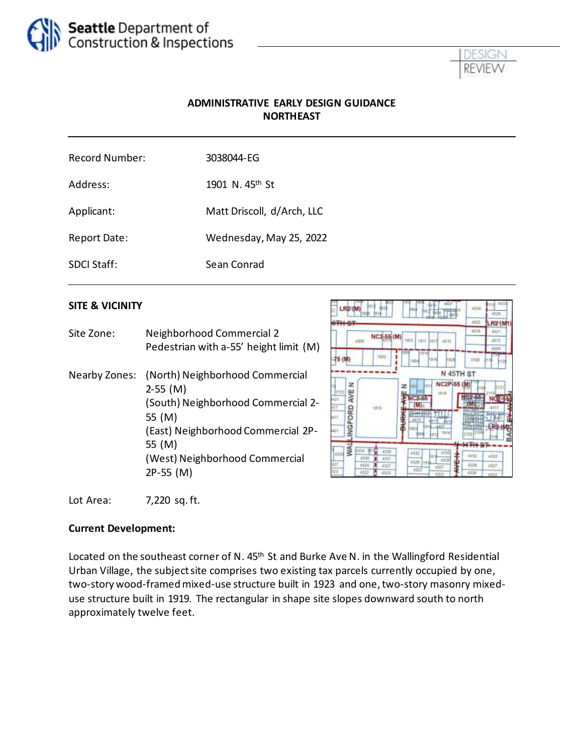



#### **ADMINISTRATIVE EARLY DESIGN GUIDANCE NORTHEAST**

| Record Number:     | 3038044-EG                 |
|--------------------|----------------------------|
| Address:           | 1901 N. 45th St            |
| Applicant:         | Matt Driscoll, d/Arch, LLC |
| Report Date:       | Wednesday, May 25, 2022    |
| <b>SDCI Staff:</b> | Sean Conrad                |

#### **SITE & VICINITY**

Site Zone: Neighborhood Commercial 2 Pedestrian with a-55' height limit (M) Nearby Zones: (North) Neighborhood Commercial 2-55 (M) (South) Neighborhood Commercial 2- 55 (M) (East) Neighborhood Commercial 2P-55 (M) (West) Neighborhood Commercial 2P-55 (M)

| LRP (M)<br>œ                                               | 828                  | <b>ISG4</b>                                   | 4530<br>433          | 463<br>计理<br>4529<br>LR23M1) |
|------------------------------------------------------------|----------------------|-----------------------------------------------|----------------------|------------------------------|
| NC2-55 (M)<br>1903<br>1811<br>4900<br><b>Jibit</b><br>4515 |                      |                                               | 4516                 | 4821                         |
|                                                            |                      |                                               |                      | 4515                         |
| $-75(10)$                                                  | 1520                 | ш<br>ning<br>110148<br>hom<br>1904            | 3100                 | 4509<br>łти<br>扣掉            |
|                                                            |                      |                                               | N 45TH ST            |                              |
| z                                                          |                      | 3 u t<br>lust<br>z                            | NC2P-55 (M)<br>1108  | 1171                         |
| LINGFORD AVE<br><b>ITES</b><br>H21                         |                      | ш<br>TRYS<br><b>CEASE</b>                     | <b>NG2-55</b>        | <b>NC2-55</b>                |
| 417                                                        | 1015                 | (Min                                          |                      | 4413                         |
| itt                                                        |                      | ARTO.<br>694<br>le ti                         |                      |                              |
| HÓT                                                        |                      | 1118<br>401<br>90<br>1919<br>юş<br><b>BRI</b> | mm<br>$-1002$ $-100$ |                              |
|                                                            |                      |                                               | تتقاه                | σő                           |
| <b>MALL</b><br><b>kxx</b><br>4333                          | 4355<br>4330<br>4331 | 4355<br>esse<br>iúvi                          | 4333                 | 4333                         |
| 327                                                        | 4224<br>4327         | 4329<br>4328<br><b>Had</b><br>4327<br>4322    | 4328                 | $-1337$                      |
| 323                                                        | 4322<br>4323         | 4323                                          | 4334                 | 4323                         |

Lot Area: 7,220 sq. ft.

#### **Current Development:**

Located on the southeast corner of N. 45<sup>th</sup> St and Burke Ave N. in the Wallingford Residential Urban Village, the subject site comprises two existing tax parcels currently occupied by one, two-story wood-framed mixed-use structure built in 1923 and one, two-story masonry mixeduse structure built in 1919. The rectangular in shape site slopes downward south to north approximately twelve feet.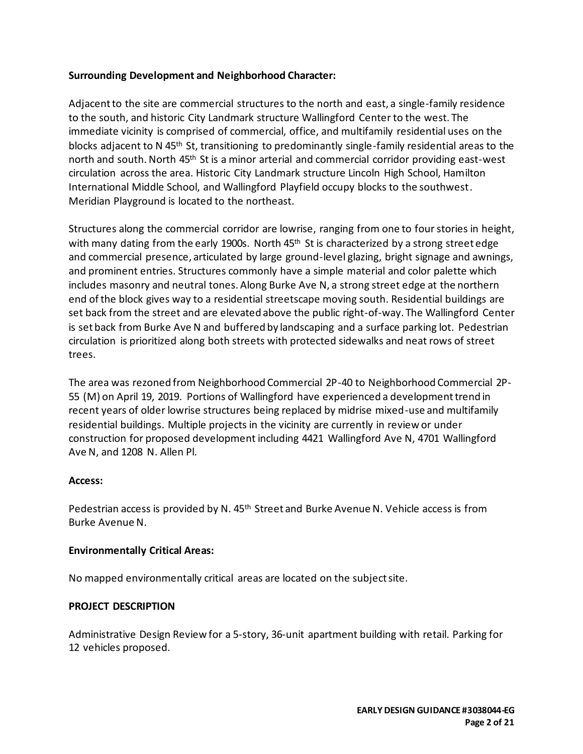### **Surrounding Development and Neighborhood Character:**

Adjacent to the site are commercial structures to the north and east, a single-family residence to the south, and historic City Landmark structure Wallingford Center to the west. The immediate vicinity is comprised of commercial, office, and multifamily residential uses on the blocks adjacent to N 45<sup>th</sup> St, transitioning to predominantly single-family residential areas to the north and south. North 45<sup>th</sup> St is a minor arterial and commercial corridor providing east-west circulation across the area. Historic City Landmark structure Lincoln High School, Hamilton International Middle School, and Wallingford Playfield occupy blocks to the southwest. Meridian Playground is located to the northeast.

Structures along the commercial corridor are lowrise, ranging from one to four stories in height, with many dating from the early 1900s. North 45<sup>th</sup> St is characterized by a strong street edge and commercial presence, articulated by large ground-level glazing, bright signage and awnings, and prominent entries. Structures commonly have a simple material and color palette which includes masonry and neutral tones. Along Burke Ave N, a strong street edge at the northern end of the block gives way to a residential streetscape moving south. Residential buildings are set back from the street and are elevated above the public right-of-way. The Wallingford Center is set back from Burke Ave N and buffered by landscaping and a surface parking lot. Pedestrian circulation is prioritized along both streets with protected sidewalks and neat rows of street trees.

The area was rezoned from Neighborhood Commercial 2P-40 to Neighborhood Commercial 2P-55 (M) on April 19, 2019. Portions of Wallingford have experienced a development trend in recent years of older lowrise structures being replaced by midrise mixed-use and multifamily residential buildings. Multiple projects in the vicinity are currently in review or under construction for proposed development including 4421 Wallingford Ave N, 4701 Wallingford Ave N, and 1208 N. Allen Pl.

### **Access:**

Pedestrian access is provided by N. 45<sup>th</sup> Street and Burke Avenue N. Vehicle access is from Burke Avenue N.

### **Environmentally Critical Areas:**

No mapped environmentally critical areas are located on the subject site.

#### **PROJECT DESCRIPTION**

Administrative Design Review for a 5-story, 36-unit apartment building with retail. Parking for 12 vehicles proposed.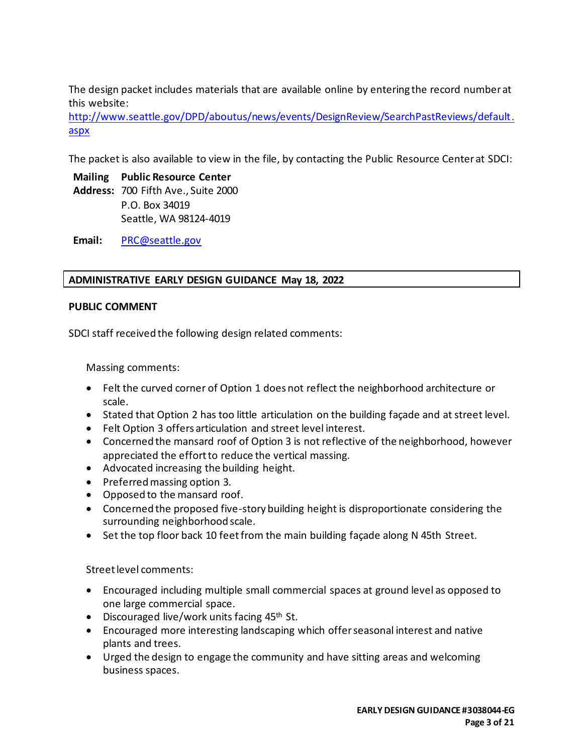The design packet includes materials that are available online by entering the record number at this website:

[http://www.seattle.gov/DPD/aboutus/news/events/DesignReview/SearchPastReviews/default.](http://www.seattle.gov/DPD/aboutus/news/events/DesignReview/SearchPastReviews/default.aspx) [aspx](http://www.seattle.gov/DPD/aboutus/news/events/DesignReview/SearchPastReviews/default.aspx)

The packet is also available to view in the file, by contacting the Public Resource Center at SDCI:

**Mailing Public Resource Center Address:** 700 Fifth Ave., Suite 2000 P.O. Box 34019 Seattle, WA 98124-4019

**Email:** [PRC@seattle.gov](mailto:PRC@seattle.gov)

### **ADMINISTRATIVE EARLY DESIGN GUIDANCE May 18, 2022**

### **PUBLIC COMMENT**

SDCI staff received the following design related comments:

Massing comments:

- Felt the curved corner of Option 1 does not reflect the neighborhood architecture or scale.
- Stated that Option 2 has too little articulation on the building façade and at street level.
- Felt Option 3 offers articulation and street level interest.
- Concerned the mansard roof of Option 3 is not reflective of the neighborhood, however appreciated the effort to reduce the vertical massing.
- Advocated increasing the building height.
- Preferred massing option 3.
- Opposed to the mansard roof.
- Concerned the proposed five-story building height is disproportionate considering the surrounding neighborhood scale.
- Set the top floor back 10 feet from the main building façade along N 45th Street.

Street level comments:

- Encouraged including multiple small commercial spaces at ground level as opposed to one large commercial space.
- Discouraged live/work units facing 45<sup>th</sup> St.
- Encouraged more interesting landscaping which offer seasonal interest and native plants and trees.
- Urged the design to engage the community and have sitting areas and welcoming business spaces.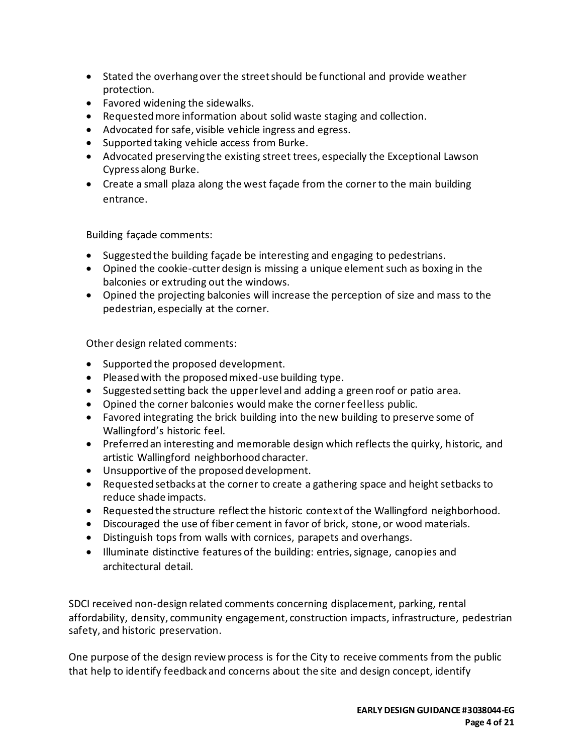- Stated the overhang over the street should be functional and provide weather protection.
- Favored widening the sidewalks.
- Requested more information about solid waste staging and collection.
- Advocated for safe, visible vehicle ingress and egress.
- Supported taking vehicle access from Burke.
- Advocated preserving the existing street trees, especially the Exceptional Lawson Cypress along Burke.
- Create a small plaza along the west façade from the corner to the main building entrance.

Building façade comments:

- Suggested the building façade be interesting and engaging to pedestrians.
- Opined the cookie-cutter design is missing a unique element such as boxing in the balconies or extruding out the windows.
- Opined the projecting balconies will increase the perception of size and mass to the pedestrian, especially at the corner.

Other design related comments:

- Supported the proposed development.
- Pleased with the proposed mixed-use building type.
- Suggested setting back the upper level and adding a green roof or patio area.
- Opined the corner balconies would make the corner feel less public.
- Favored integrating the brick building into the new building to preserve some of Wallingford's historic feel.
- Preferred an interesting and memorable design which reflects the quirky, historic, and artistic Wallingford neighborhood character.
- Unsupportive of the proposed development.
- Requested setbacks at the corner to create a gathering space and height setbacks to reduce shade impacts.
- Requested the structure reflect the historic context of the Wallingford neighborhood.
- Discouraged the use of fiber cement in favor of brick, stone, or wood materials.
- Distinguish tops from walls with cornices, parapets and overhangs.
- Illuminate distinctive features of the building: entries, signage, canopies and architectural detail.

SDCI received non-design related comments concerning displacement, parking, rental affordability, density, community engagement, construction impacts, infrastructure, pedestrian safety, and historic preservation.

One purpose of the design review process is for the City to receive comments from the public that help to identify feedback and concerns about the site and design concept, identify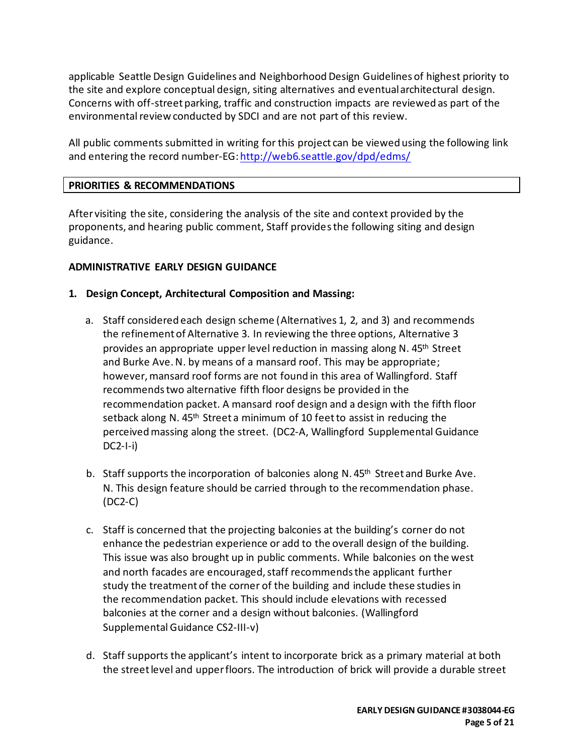applicable Seattle Design Guidelines and Neighborhood Design Guidelines of highest priority to the site and explore conceptual design, siting alternatives and eventual architectural design. Concerns with off-street parking, traffic and construction impacts are reviewed as part of the environmental review conducted by SDCI and are not part of this review.

All public comments submitted in writing for this project can be viewed using the following link and entering the record number-EG[: http://web6.seattle.gov/dpd/edms/](http://web6.seattle.gov/dpd/edms/)

### **PRIORITIES & RECOMMENDATIONS**

After visiting the site, considering the analysis of the site and context provided by the proponents, and hearing public comment, Staff providesthe following siting and design guidance.

### **ADMINISTRATIVE EARLY DESIGN GUIDANCE**

### **1. Design Concept, Architectural Composition and Massing:**

- a. Staff considered each design scheme (Alternatives 1, 2, and 3) and recommends the refinement of Alternative 3. In reviewing the three options, Alternative 3 provides an appropriate upper level reduction in massing along N. 45th Street and Burke Ave. N. by means of a mansard roof. This may be appropriate; however, mansard roof forms are not found in this area of Wallingford. Staff recommends two alternative fifth floor designs be provided in the recommendation packet. A mansard roof design and a design with the fifth floor setback along N. 45<sup>th</sup> Street a minimum of 10 feet to assist in reducing the perceived massing along the street. (DC2-A, Wallingford Supplemental Guidance  $DC2-I-i)$
- b. Staff supports the incorporation of balconies along N.  $45<sup>th</sup>$  Street and Burke Ave. N. This design feature should be carried through to the recommendation phase. (DC2-C)
- c. Staff is concerned that the projecting balconies at the building's corner do not enhance the pedestrian experience or add to the overall design of the building. This issue was also brought up in public comments. While balconies on the west and north facades are encouraged, staff recommends the applicant further study the treatment of the corner of the building and include these studies in the recommendation packet. This should include elevations with recessed balconies at the corner and a design without balconies. (Wallingford Supplemental Guidance CS2-III-v)
- d. Staff supports the applicant's intent to incorporate brick as a primary material at both the street level and upper floors. The introduction of brick will provide a durable street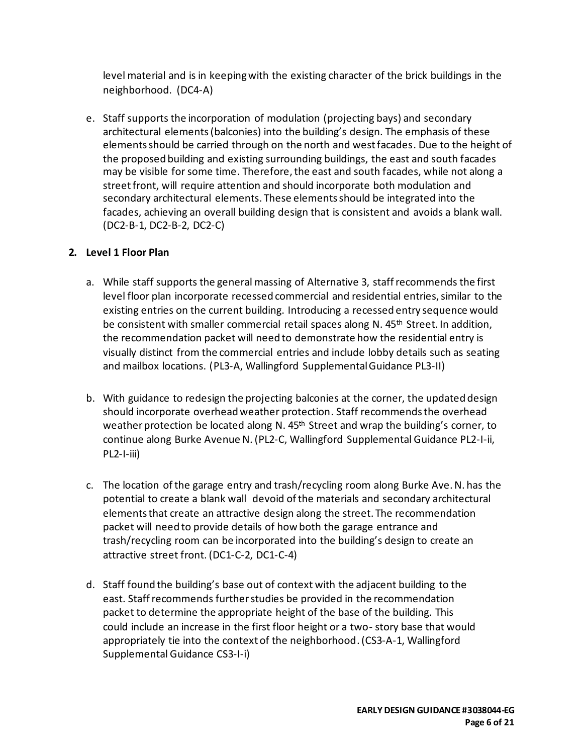level material and is in keeping with the existing character of the brick buildings in the neighborhood. (DC4-A)

e. Staff supports the incorporation of modulation (projecting bays) and secondary architectural elements(balconies) into the building's design. The emphasis of these elements should be carried through on the north and west facades. Due to the height of the proposed building and existing surrounding buildings, the east and south facades may be visible for some time. Therefore, the east and south facades, while not along a street front, will require attention and should incorporate both modulation and secondary architectural elements. These elements should be integrated into the facades, achieving an overall building design that is consistent and avoids a blank wall. (DC2-B-1, DC2-B-2, DC2-C)

### **2. Level 1 Floor Plan**

- a. While staff supports the general massing of Alternative 3, staff recommends the first level floor plan incorporate recessed commercial and residential entries, similar to the existing entries on the current building. Introducing a recessed entry sequence would be consistent with smaller commercial retail spaces along N. 45<sup>th</sup> Street. In addition, the recommendation packet will need to demonstrate how the residential entry is visually distinct from the commercial entries and include lobby details such as seating and mailbox locations. (PL3-A, Wallingford Supplemental Guidance PL3-II)
- b. With guidance to redesign the projecting balconies at the corner, the updated design should incorporate overhead weather protection. Staff recommends the overhead weather protection be located along N. 45<sup>th</sup> Street and wrap the building's corner, to continue along Burke Avenue N. (PL2-C, Wallingford Supplemental Guidance PL2-I-ii, PL2-I-iii)
- c. The location of the garage entry and trash/recycling room along Burke Ave. N. has the potential to create a blank wall devoid of the materials and secondary architectural elements that create an attractive design along the street. The recommendation packet will need to provide details of how both the garage entrance and trash/recycling room can be incorporated into the building's design to create an attractive street front. (DC1-C-2, DC1-C-4)
- d. Staff found the building's base out of context with the adjacent building to the east. Staff recommends further studies be provided in the recommendation packet to determine the appropriate height of the base of the building. This could include an increase in the first floor height or a two- story base that would appropriately tie into the context of the neighborhood. (CS3-A-1, Wallingford Supplemental Guidance CS3-I-i)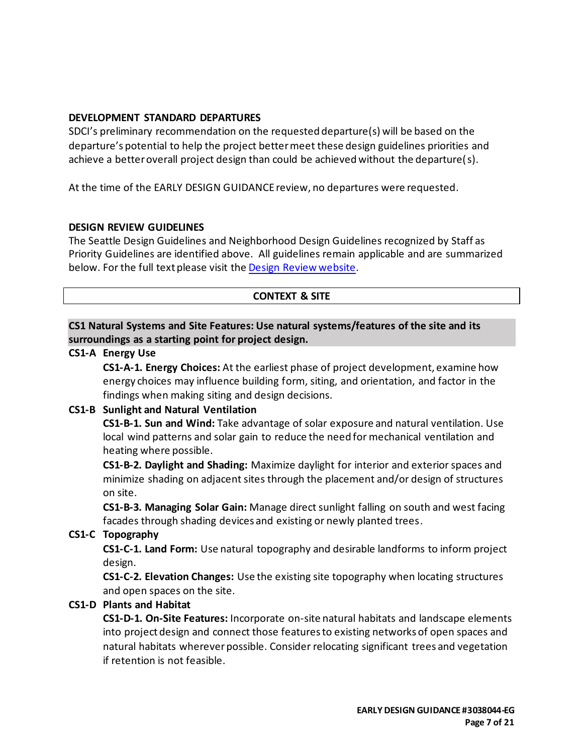### **DEVELOPMENT STANDARD DEPARTURES**

SDCI's preliminary recommendation on the requested departure(s) will be based on the departure's potential to help the project better meet these design guidelines priorities and achieve a better overall project design than could be achieved without the departure(s).

At the time of the EARLY DESIGN GUIDANCE review, no departures were requested.

### **DESIGN REVIEW GUIDELINES**

The Seattle Design Guidelines and Neighborhood Design Guidelines recognized by Staff as Priority Guidelines are identified above. All guidelines remain applicable and are summarized below. For the full text please visit the [Design Review website.](https://www.seattle.gov/dpd/aboutus/whoweare/designreview/designguidelines/default.htm)

# **CONTEXT & SITE**

**CS1 Natural Systems and Site Features: Use natural systems/features of the site and its surroundings as a starting point for project design.**

### **CS1-A Energy Use**

**CS1-A-1. Energy Choices:** At the earliest phase of project development, examine how energy choices may influence building form, siting, and orientation, and factor in the findings when making siting and design decisions.

## **CS1-B Sunlight and Natural Ventilation**

**CS1-B-1. Sun and Wind:** Take advantage of solar exposure and natural ventilation. Use local wind patterns and solar gain to reduce the need for mechanical ventilation and heating where possible.

**CS1-B-2. Daylight and Shading:** Maximize daylight for interior and exterior spaces and minimize shading on adjacent sites through the placement and/or design of structures on site.

**CS1-B-3. Managing Solar Gain:** Manage direct sunlight falling on south and west facing facades through shading devices and existing or newly planted trees.

## **CS1-C Topography**

**CS1-C-1. Land Form:** Use natural topography and desirable landforms to inform project design.

**CS1-C-2. Elevation Changes:** Use the existing site topography when locating structures and open spaces on the site.

## **CS1-D Plants and Habitat**

**CS1-D-1. On-Site Features:** Incorporate on-site natural habitats and landscape elements into project design and connect those features to existing networks of open spaces and natural habitats wherever possible. Consider relocating significant trees and vegetation if retention is not feasible.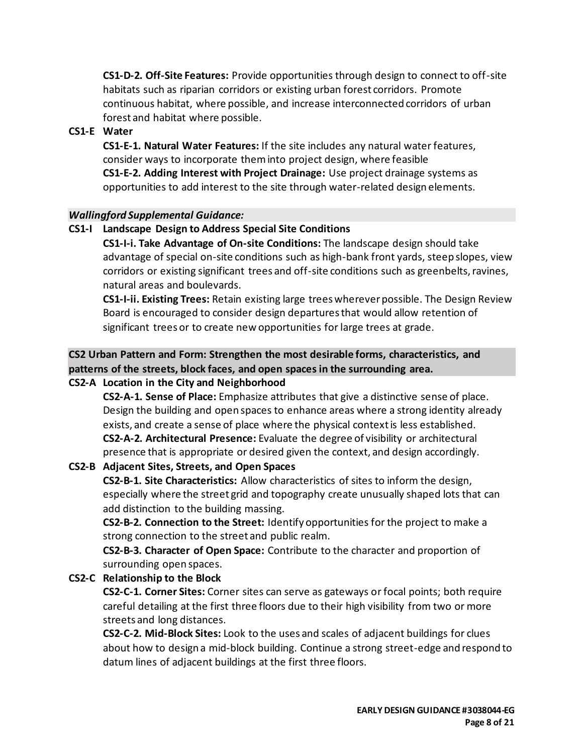**CS1-D-2. Off-Site Features:** Provide opportunities through design to connect to off-site habitats such as riparian corridors or existing urban forest corridors. Promote continuous habitat, where possible, and increase interconnected corridors of urban forest and habitat where possible.

# **CS1-E Water**

**CS1-E-1. Natural Water Features:** If the site includes any natural water features, consider ways to incorporate them into project design, where feasible **CS1-E-2. Adding Interest with Project Drainage:** Use project drainage systems as opportunities to add interest to the site through water-related design elements.

# *Wallingford Supplemental Guidance:*

# **CS1-I Landscape Design to Address Special Site Conditions**

**CS1-I-i. Take Advantage of On-site Conditions:** The landscape design should take advantage of special on-site conditions such as high-bank front yards, steep slopes, view corridors or existing significant trees and off-site conditions such as greenbelts, ravines, natural areas and boulevards.

**CS1-I-ii. Existing Trees:** Retain existing large trees wherever possible. The Design Review Board is encouraged to consider design departures that would allow retention of significant trees or to create new opportunities for large trees at grade.

**CS2 Urban Pattern and Form: Strengthen the most desirable forms, characteristics, and patterns of the streets, block faces, and open spaces in the surrounding area.**

# **CS2-A Location in the City and Neighborhood**

**CS2-A-1. Sense of Place:** Emphasize attributes that give a distinctive sense of place. Design the building and open spaces to enhance areas where a strong identity already exists, and create a sense of place where the physical context is less established. **CS2-A-2. Architectural Presence:** Evaluate the degree of visibility or architectural presence that is appropriate or desired given the context, and design accordingly.

# **CS2-B Adjacent Sites, Streets, and Open Spaces**

**CS2-B-1. Site Characteristics:** Allow characteristics of sites to inform the design, especially where the street grid and topography create unusually shaped lots that can add distinction to the building massing.

**CS2-B-2. Connection to the Street:** Identify opportunities for the project to make a strong connection to the street and public realm.

**CS2-B-3. Character of Open Space:** Contribute to the character and proportion of surrounding open spaces.

**CS2-C Relationship to the Block**

**CS2-C-1. Corner Sites:** Corner sites can serve as gateways or focal points; both require careful detailing at the first three floors due to their high visibility from two or more streets and long distances.

**CS2-C-2. Mid-Block Sites:** Look to the uses and scales of adjacent buildings for clues about how to design a mid-block building. Continue a strong street-edge and respond to datum lines of adjacent buildings at the first three floors.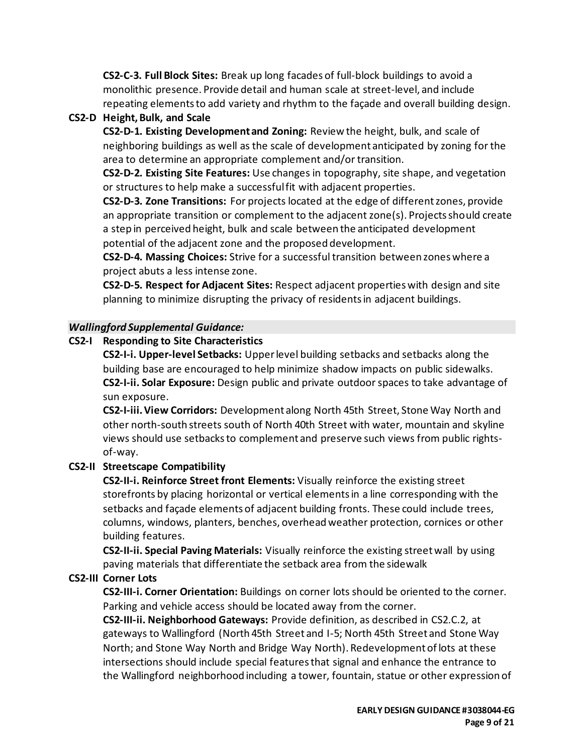**CS2-C-3. Full Block Sites:** Break up long facades of full-block buildings to avoid a monolithic presence. Provide detail and human scale at street-level, and include repeating elements to add variety and rhythm to the façade and overall building design.

# **CS2-D Height, Bulk, and Scale**

**CS2-D-1. Existing Development and Zoning:** Review the height, bulk, and scale of neighboring buildings as well as the scale of development anticipated by zoning for the area to determine an appropriate complement and/or transition.

**CS2-D-2. Existing Site Features:** Use changes in topography, site shape, and vegetation or structures to help make a successful fit with adjacent properties.

**CS2-D-3. Zone Transitions:** For projects located at the edge of different zones, provide an appropriate transition or complement to the adjacent zone(s). Projects should create a step in perceived height, bulk and scale between the anticipated development potential of the adjacent zone and the proposed development.

**CS2-D-4. Massing Choices:** Strive for a successful transition between zones where a project abuts a less intense zone.

**CS2-D-5. Respect for Adjacent Sites:** Respect adjacent properties with design and site planning to minimize disrupting the privacy of residents in adjacent buildings.

## *Wallingford Supplemental Guidance:*

**CS2-I Responding to Site Characteristics**

**CS2-I-i. Upper-level Setbacks:** Upper level building setbacks and setbacks along the building base are encouraged to help minimize shadow impacts on public sidewalks. **CS2-I-ii. Solar Exposure:** Design public and private outdoor spaces to take advantage of sun exposure.

**CS2-I-iii. View Corridors:** Development along North 45th Street, Stone Way North and other north-south streets south of North 40th Street with water, mountain and skyline views should use setbacks to complement and preserve such views from public rightsof-way.

# **CS2-II Streetscape Compatibility**

**CS2-II-i. Reinforce Street front Elements:** Visually reinforce the existing street storefronts by placing horizontal or vertical elements in a line corresponding with the setbacks and façade elements of adjacent building fronts. These could include trees, columns, windows, planters, benches, overhead weather protection, cornices or other building features.

**CS2-II-ii. Special Paving Materials:** Visually reinforce the existing street wall by using paving materials that differentiate the setback area from the sidewalk

# **CS2-III Corner Lots**

**CS2-III-i. Corner Orientation:** Buildings on corner lots should be oriented to the corner. Parking and vehicle access should be located away from the corner.

**CS2-III-ii. Neighborhood Gateways:** Provide definition, as described in CS2.C.2, at gateways to Wallingford (North 45th Street and I-5; North 45th Street and Stone Way North; and Stone Way North and Bridge Way North). Redevelopment of lots at these intersections should include special features that signal and enhance the entrance to the Wallingford neighborhood including a tower, fountain, statue or other expression of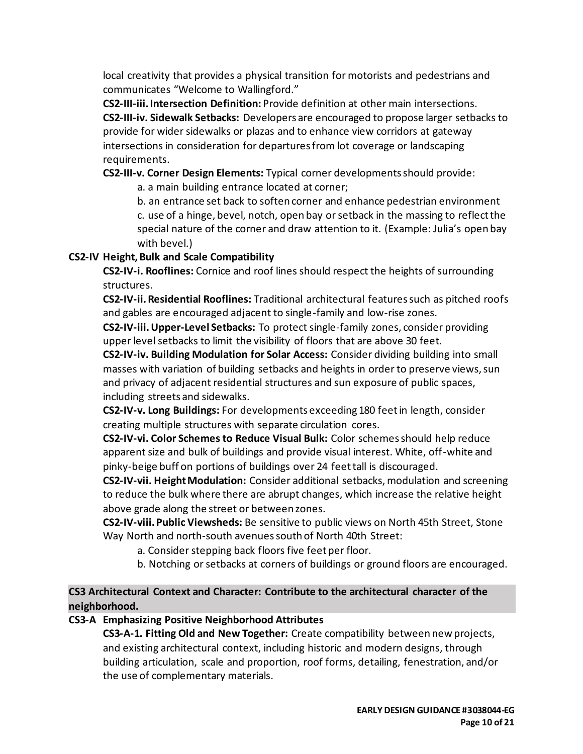local creativity that provides a physical transition for motorists and pedestrians and communicates "Welcome to Wallingford."

**CS2-III-iii. Intersection Definition:** Provide definition at other main intersections. **CS2-III-iv. Sidewalk Setbacks:** Developers are encouraged to propose larger setbacks to provide for wider sidewalks or plazas and to enhance view corridors at gateway intersections in consideration for departures from lot coverage or landscaping requirements.

**CS2-III-v. Corner Design Elements:** Typical corner developments should provide:

a. a main building entrance located at corner;

b. an entrance set back to soften corner and enhance pedestrian environment c. use of a hinge, bevel, notch, open bay or setback in the massing to reflect the special nature of the corner and draw attention to it. (Example: Julia's open bay with bevel.)

# **CS2-IV Height, Bulk and Scale Compatibility**

**CS2-IV-i. Rooflines:** Cornice and roof lines should respect the heights of surrounding structures.

**CS2-IV-ii. Residential Rooflines:** Traditional architectural features such as pitched roofs and gables are encouraged adjacent to single-family and low-rise zones.

**CS2-IV-iii. Upper-Level Setbacks:** To protect single-family zones, consider providing upper level setbacks to limit the visibility of floors that are above 30 feet.

**CS2-IV-iv. Building Modulation for Solar Access:** Consider dividing building into small masses with variation of building setbacks and heights in order to preserve views, sun and privacy of adjacent residential structures and sun exposure of public spaces, including streets and sidewalks.

**CS2-IV-v. Long Buildings:** For developments exceeding 180 feet in length, consider creating multiple structures with separate circulation cores.

**CS2-IV-vi. Color Schemes to Reduce Visual Bulk:** Color schemes should help reduce apparent size and bulk of buildings and provide visual interest. White, off-white and pinky-beige buff on portions of buildings over 24 feet tall is discouraged.

**CS2-IV-vii. Height Modulation:** Consider additional setbacks, modulation and screening to reduce the bulk where there are abrupt changes, which increase the relative height above grade along the street or between zones.

**CS2-IV-viii. Public Viewsheds:** Be sensitive to public views on North 45th Street, Stone Way North and north-south avenues south of North 40th Street:

a. Consider stepping back floors five feet per floor.

b. Notching or setbacks at corners of buildings or ground floors are encouraged.

# **CS3 Architectural Context and Character: Contribute to the architectural character of the neighborhood.**

# **CS3-A Emphasizing Positive Neighborhood Attributes**

**CS3-A-1. Fitting Old and New Together:** Create compatibility between new projects, and existing architectural context, including historic and modern designs, through building articulation, scale and proportion, roof forms, detailing, fenestration, and/or the use of complementary materials.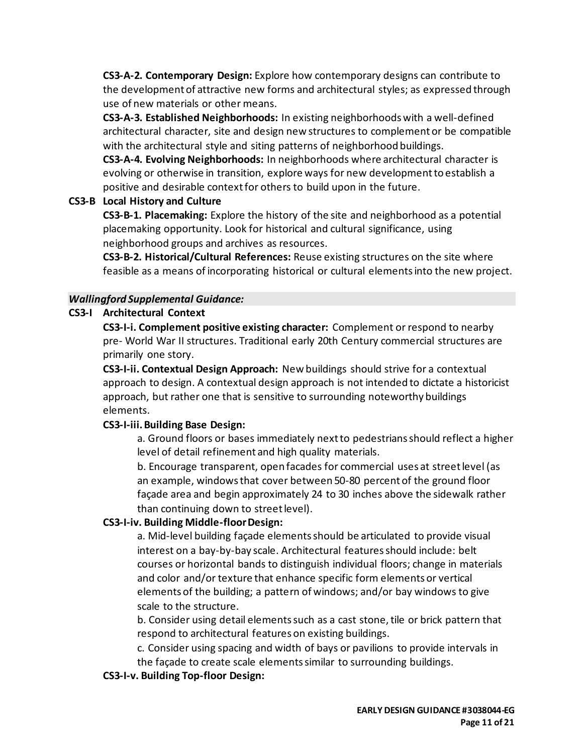**CS3-A-2. Contemporary Design:** Explore how contemporary designs can contribute to the development of attractive new forms and architectural styles; as expressed through use of new materials or other means.

**CS3-A-3. Established Neighborhoods:** In existing neighborhoods with a well-defined architectural character, site and design new structures to complement or be compatible with the architectural style and siting patterns of neighborhood buildings.

**CS3-A-4. Evolving Neighborhoods:** In neighborhoods where architectural character is evolving or otherwise in transition, explore ways for new development to establish a positive and desirable context for others to build upon in the future.

## **CS3-B Local History and Culture**

**CS3-B-1. Placemaking:** Explore the history of the site and neighborhood as a potential placemaking opportunity. Look for historical and cultural significance, using neighborhood groups and archives as resources.

**CS3-B-2. Historical/Cultural References:** Reuse existing structures on the site where feasible as a means of incorporating historical or cultural elements into the new project.

# *Wallingford Supplemental Guidance:*

# **CS3-I Architectural Context**

**CS3-I-i. Complement positive existing character:** Complement or respond to nearby pre- World War II structures. Traditional early 20th Century commercial structures are primarily one story.

**CS3-I-ii. Contextual Design Approach:** New buildings should strive for a contextual approach to design. A contextual design approach is not intended to dictate a historicist approach, but rather one that is sensitive to surrounding noteworthy buildings elements.

## **CS3-I-iii. Building Base Design:**

a. Ground floors or bases immediately next to pedestrians should reflect a higher level of detail refinement and high quality materials.

b. Encourage transparent, open facades for commercial uses at street level (as an example, windows that cover between 50-80 percent of the ground floor façade area and begin approximately 24 to 30 inches above the sidewalk rather than continuing down to street level).

## **CS3-I-iv. Building Middle-floor Design:**

a. Mid-level building façade elements should be articulated to provide visual interest on a bay-by-bay scale. Architectural features should include: belt courses or horizontal bands to distinguish individual floors; change in materials and color and/or texture that enhance specific form elements or vertical elements of the building; a pattern of windows; and/or bay windows to give scale to the structure.

b. Consider using detail elements such as a cast stone, tile or brick pattern that respond to architectural features on existing buildings.

c. Consider using spacing and width of bays or pavilions to provide intervals in the façade to create scale elements similar to surrounding buildings.

## **CS3-I-v. Building Top-floor Design:**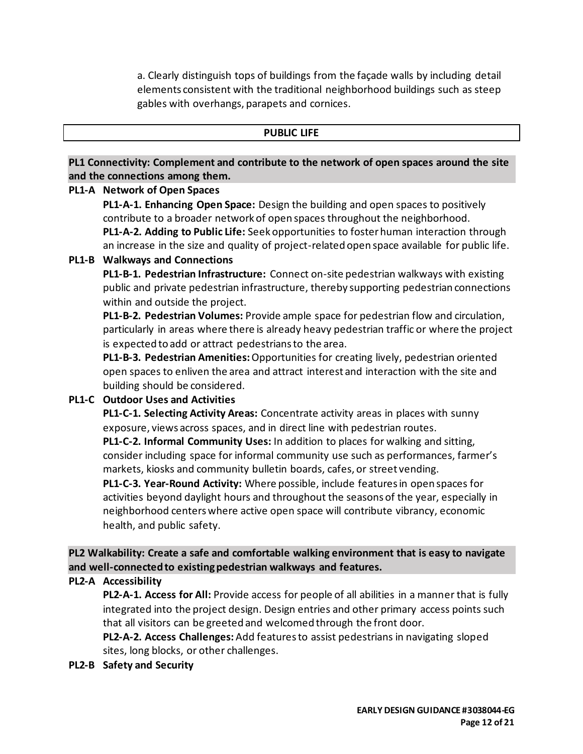a. Clearly distinguish tops of buildings from the façade walls by including detail elements consistent with the traditional neighborhood buildings such as steep gables with overhangs, parapets and cornices.

#### **PUBLIC LIFE**

## **PL1 Connectivity: Complement and contribute to the network of open spaces around the site and the connections among them.**

### **PL1-A Network of Open Spaces**

**PL1-A-1. Enhancing Open Space:** Design the building and open spaces to positively contribute to a broader network of open spaces throughout the neighborhood. **PL1-A-2. Adding to Public Life:** Seek opportunities to foster human interaction through an increase in the size and quality of project-related open space available for public life.

### **PL1-B Walkways and Connections**

**PL1-B-1. Pedestrian Infrastructure:** Connect on-site pedestrian walkways with existing public and private pedestrian infrastructure, thereby supporting pedestrian connections within and outside the project.

**PL1-B-2. Pedestrian Volumes:** Provide ample space for pedestrian flow and circulation, particularly in areas where there is already heavy pedestrian traffic or where the project is expected to add or attract pedestrians to the area.

**PL1-B-3. Pedestrian Amenities:**Opportunities for creating lively, pedestrian oriented open spaces to enliven the area and attract interest and interaction with the site and building should be considered.

## **PL1-C Outdoor Uses and Activities**

**PL1-C-1. Selecting Activity Areas:** Concentrate activity areas in places with sunny exposure, views across spaces, and in direct line with pedestrian routes.

**PL1-C-2. Informal Community Uses:** In addition to places for walking and sitting, consider including space for informal community use such as performances, farmer's markets, kiosks and community bulletin boards, cafes, or street vending.

**PL1-C-3. Year-Round Activity:** Where possible, include features in open spaces for activities beyond daylight hours and throughout the seasons of the year, especially in neighborhood centers where active open space will contribute vibrancy, economic health, and public safety.

**PL2 Walkability: Create a safe and comfortable walking environment that is easy to navigate and well-connected to existing pedestrian walkways and features.**

## **PL2-A Accessibility**

**PL2-A-1. Access for All:** Provide access for people of all abilities in a manner that is fully integrated into the project design. Design entries and other primary access points such that all visitors can be greeted and welcomed through the front door.

**PL2-A-2. Access Challenges:**Add features to assist pedestrians in navigating sloped sites, long blocks, or other challenges.

**PL2-B Safety and Security**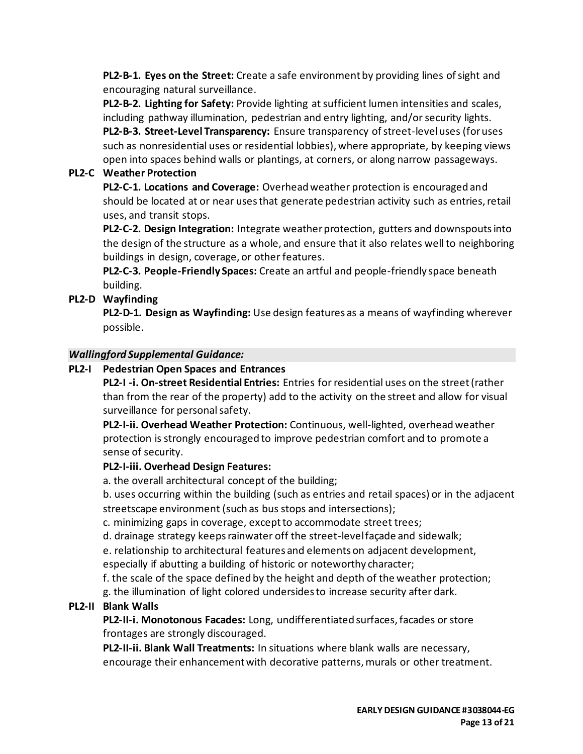**PL2-B-1. Eyes on the Street:** Create a safe environment by providing lines of sight and encouraging natural surveillance.

**PL2-B-2. Lighting for Safety:** Provide lighting at sufficient lumen intensities and scales, including pathway illumination, pedestrian and entry lighting, and/or security lights. **PL2-B-3. Street-Level Transparency:** Ensure transparency of street-level uses (for uses such as nonresidential uses or residential lobbies), where appropriate, by keeping views open into spaces behind walls or plantings, at corners, or along narrow passageways.

# **PL2-C Weather Protection**

**PL2-C-1. Locations and Coverage:** Overhead weather protection is encouraged and should be located at or near uses that generate pedestrian activity such as entries, retail uses, and transit stops.

**PL2-C-2. Design Integration:** Integrate weather protection, gutters and downspouts into the design of the structure as a whole, and ensure that it also relates well to neighboring buildings in design, coverage, or other features.

**PL2-C-3. People-Friendly Spaces:** Create an artful and people-friendly space beneath building.

# **PL2-D Wayfinding**

**PL2-D-1. Design as Wayfinding:** Use design features as a means of wayfinding wherever possible.

## *Wallingford Supplemental Guidance:*

## **PL2-I Pedestrian Open Spaces and Entrances**

**PL2-I -i. On-street Residential Entries:** Entries for residential uses on the street (rather than from the rear of the property) add to the activity on the street and allow for visual surveillance for personal safety.

**PL2-I-ii. Overhead Weather Protection:** Continuous, well-lighted, overhead weather protection is strongly encouraged to improve pedestrian comfort and to promote a sense of security.

## **PL2-I-iii. Overhead Design Features:**

a. the overall architectural concept of the building;

b. uses occurring within the building (such as entries and retail spaces) or in the adjacent streetscape environment (such as bus stops and intersections);

c. minimizing gaps in coverage, except to accommodate street trees;

d. drainage strategy keeps rainwater off the street-level façade and sidewalk;

e. relationship to architectural features and elements on adjacent development, especially if abutting a building of historic or noteworthy character;

f. the scale of the space defined by the height and depth of the weather protection;

g. the illumination of light colored undersides to increase security after dark.

# **PL2-II Blank Walls**

**PL2-II-i. Monotonous Facades:** Long, undifferentiated surfaces, facades or store frontages are strongly discouraged.

**PL2-II-ii. Blank Wall Treatments:** In situations where blank walls are necessary, encourage their enhancement with decorative patterns, murals or other treatment.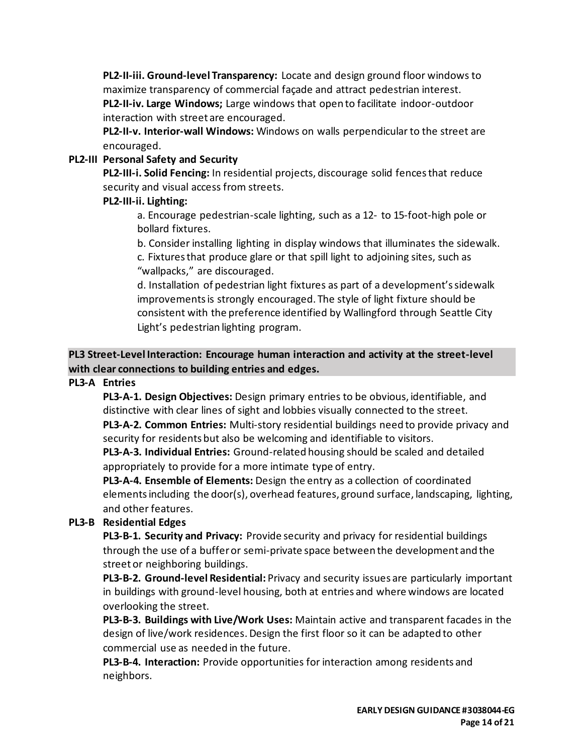**PL2-II-iii. Ground-level Transparency:** Locate and design ground floor windows to maximize transparency of commercial façade and attract pedestrian interest.

**PL2-II-iv. Large Windows;** Large windows that open to facilitate indoor-outdoor interaction with street are encouraged.

**PL2-II-v. Interior-wall Windows:** Windows on walls perpendicular to the street are encouraged.

# **PL2-III Personal Safety and Security**

**PL2-III-i. Solid Fencing:** In residential projects, discourage solid fences that reduce security and visual access from streets.

# **PL2-III-ii. Lighting:**

a. Encourage pedestrian-scale lighting, such as a 12- to 15-foot-high pole or bollard fixtures.

b. Consider installing lighting in display windows that illuminates the sidewalk.

c. Fixtures that produce glare or that spill light to adjoining sites, such as "wallpacks," are discouraged.

d. Installation of pedestrian light fixtures as part of a development's sidewalk improvements is strongly encouraged. The style of light fixture should be consistent with the preference identified by Wallingford through Seattle City Light's pedestrian lighting program.

# **PL3 Street-Level Interaction: Encourage human interaction and activity at the street-level with clear connections to building entries and edges.**

# **PL3-A Entries**

**PL3-A-1. Design Objectives:** Design primary entries to be obvious, identifiable, and distinctive with clear lines of sight and lobbies visually connected to the street. **PL3-A-2. Common Entries:** Multi-story residential buildings need to provide privacy and

security for residents but also be welcoming and identifiable to visitors. **PL3-A-3. Individual Entries:** Ground-related housing should be scaled and detailed appropriately to provide for a more intimate type of entry.

**PL3-A-4. Ensemble of Elements:** Design the entry as a collection of coordinated elementsincluding the door(s), overhead features, ground surface, landscaping, lighting, and other features.

# **PL3-B Residential Edges**

**PL3-B-1. Security and Privacy:** Provide security and privacy for residential buildings through the use of a buffer or semi-private space between the development and the street or neighboring buildings.

**PL3-B-2. Ground-level Residential:** Privacy and security issues are particularly important in buildings with ground-level housing, both at entries and where windows are located overlooking the street.

**PL3-B-3. Buildings with Live/Work Uses:** Maintain active and transparent facades in the design of live/work residences. Design the first floor so it can be adapted to other commercial use as needed in the future.

**PL3-B-4. Interaction:** Provide opportunities for interaction among residents and neighbors.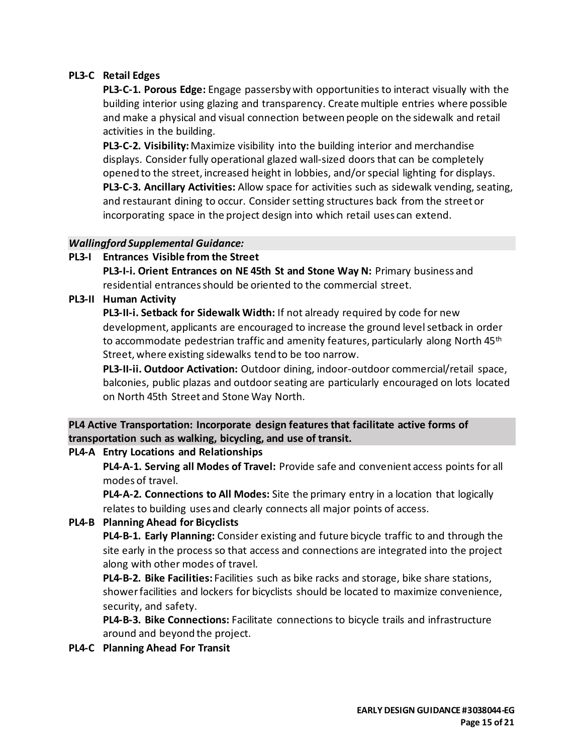## **PL3-C Retail Edges**

**PL3-C-1. Porous Edge:** Engage passersby with opportunities to interact visually with the building interior using glazing and transparency. Create multiple entries where possible and make a physical and visual connection between people on the sidewalk and retail activities in the building.

**PL3-C-2. Visibility:**Maximize visibility into the building interior and merchandise displays. Consider fully operational glazed wall-sized doors that can be completely opened to the street, increased height in lobbies, and/or special lighting for displays. **PL3-C-3. Ancillary Activities:** Allow space for activities such as sidewalk vending, seating, and restaurant dining to occur. Consider setting structures back from the street or incorporating space in the project design into which retail uses can extend.

### *Wallingford Supplemental Guidance:*

### **PL3-I Entrances Visible from the Street**

**PL3-I-i. Orient Entrances on NE 45th St and Stone Way N:** Primary business and residential entrances should be oriented to the commercial street.

## **PL3-II Human Activity**

**PL3-II-i. Setback for Sidewalk Width:** If not already required by code for new development, applicants are encouraged to increase the ground level setback in order to accommodate pedestrian traffic and amenity features, particularly along North 45<sup>th</sup> Street, where existing sidewalks tend to be too narrow.

**PL3-II-ii. Outdoor Activation:** Outdoor dining, indoor-outdoor commercial/retail space, balconies, public plazas and outdoor seating are particularly encouraged on lots located on North 45th Street and Stone Way North.

# **PL4 Active Transportation: Incorporate design features that facilitate active forms of transportation such as walking, bicycling, and use of transit.**

## **PL4-A Entry Locations and Relationships**

**PL4-A-1. Serving all Modes of Travel:** Provide safe and convenient access points for all modes of travel.

**PL4-A-2. Connections to All Modes:** Site the primary entry in a location that logically relates to building uses and clearly connects all major points of access.

## **PL4-B Planning Ahead for Bicyclists**

**PL4-B-1. Early Planning:** Consider existing and future bicycle traffic to and through the site early in the process so that access and connections are integrated into the project along with other modes of travel.

**PL4-B-2. Bike Facilities:** Facilities such as bike racks and storage, bike share stations, showerfacilities and lockers for bicyclists should be located to maximize convenience, security, and safety.

**PL4-B-3. Bike Connections:** Facilitate connections to bicycle trails and infrastructure around and beyond the project.

### **PL4-C Planning Ahead For Transit**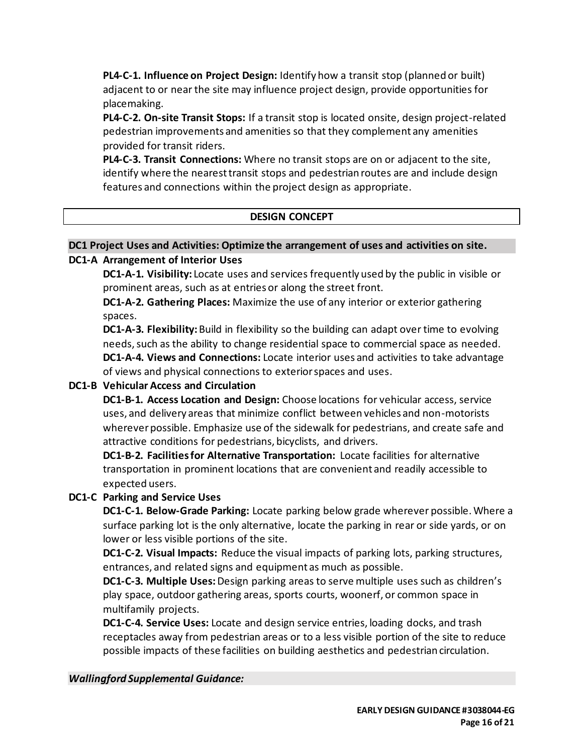**PL4-C-1. Influence on Project Design:** Identify how a transit stop (planned or built) adjacent to or near the site may influence project design, provide opportunities for placemaking.

**PL4-C-2. On-site Transit Stops:** If a transit stop is located onsite, design project-related pedestrian improvements and amenities so that they complement any amenities provided for transit riders.

**PL4-C-3. Transit Connections:** Where no transit stops are on or adjacent to the site, identify where the nearest transit stops and pedestrian routes are and include design features and connections within the project design as appropriate.

### **DESIGN CONCEPT**

### **DC1 Project Uses and Activities: Optimize the arrangement of uses and activities on site.**

### **DC1-A Arrangement of Interior Uses**

**DC1-A-1. Visibility:** Locate uses and services frequently used by the public in visible or prominent areas, such as at entries or along the street front.

**DC1-A-2. Gathering Places:** Maximize the use of any interior or exterior gathering spaces.

**DC1-A-3. Flexibility:** Build in flexibility so the building can adapt over time to evolving needs, such as the ability to change residential space to commercial space as needed. **DC1-A-4. Views and Connections:** Locate interior uses and activities to take advantage of views and physical connections to exterior spaces and uses.

## **DC1-B Vehicular Access and Circulation**

**DC1-B-1. Access Location and Design:** Choose locations for vehicular access, service uses, and delivery areas that minimize conflict between vehicles and non-motorists wherever possible. Emphasize use of the sidewalk for pedestrians, and create safe and attractive conditions for pedestrians, bicyclists, and drivers.

**DC1-B-2. Facilities for Alternative Transportation:** Locate facilities for alternative transportation in prominent locations that are convenient and readily accessible to expected users.

## **DC1-C Parking and Service Uses**

**DC1-C-1. Below-Grade Parking:** Locate parking below grade wherever possible. Where a surface parking lot is the only alternative, locate the parking in rear or side yards, or on lower or less visible portions of the site.

**DC1-C-2. Visual Impacts:** Reduce the visual impacts of parking lots, parking structures, entrances, and related signs and equipment as much as possible.

**DC1-C-3. Multiple Uses:** Design parking areas to serve multiple uses such as children's play space, outdoor gathering areas, sports courts, woonerf, or common space in multifamily projects.

**DC1-C-4. Service Uses:** Locate and design service entries, loading docks, and trash receptacles away from pedestrian areas or to a less visible portion of the site to reduce possible impacts of these facilities on building aesthetics and pedestrian circulation.

### *Wallingford Supplemental Guidance:*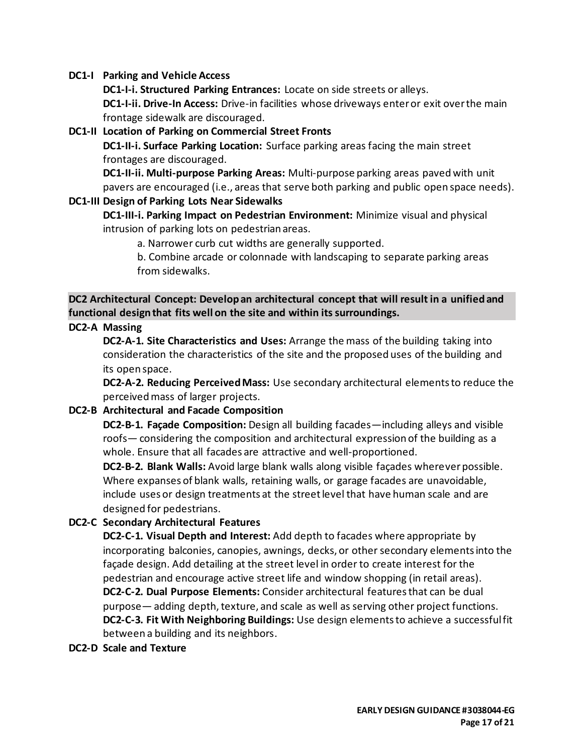### **DC1-I Parking and Vehicle Access**

**DC1-I-i. Structured Parking Entrances:** Locate on side streets or alleys.

**DC1-I-ii. Drive-In Access:** Drive-in facilities whose driveways enter or exit over the main frontage sidewalk are discouraged.

### **DC1-II Location of Parking on Commercial Street Fronts**

**DC1-II-i. Surface Parking Location:** Surface parking areas facing the main street frontages are discouraged.

**DC1-II-ii. Multi-purpose Parking Areas:** Multi-purpose parking areas paved with unit pavers are encouraged (i.e., areas that serve both parking and public open space needs).

### **DC1-III Design of Parking Lots Near Sidewalks**

**DC1-III-i. Parking Impact on Pedestrian Environment:** Minimize visual and physical intrusion of parking lots on pedestrian areas.

a. Narrower curb cut widths are generally supported.

b. Combine arcade or colonnade with landscaping to separate parking areas from sidewalks.

**DC2 Architectural Concept: Develop an architectural concept that will result in a unified and functional design that fits well on the site and within its surroundings.**

### **DC2-A Massing**

**DC2-A-1. Site Characteristics and Uses:** Arrange the mass of the building taking into consideration the characteristics of the site and the proposed uses of the building and its open space.

**DC2-A-2. Reducing Perceived Mass:** Use secondary architectural elements to reduce the perceived mass of larger projects.

### **DC2-B Architectural and Facade Composition**

**DC2-B-1. Façade Composition:** Design all building facades—including alleys and visible roofs— considering the composition and architectural expression of the building as a whole. Ensure that all facades are attractive and well-proportioned.

**DC2-B-2. Blank Walls:** Avoid large blank walls along visible façades wherever possible. Where expanses of blank walls, retaining walls, or garage facades are unavoidable, include uses or design treatments at the street level that have human scale and are designed for pedestrians.

## **DC2-C Secondary Architectural Features**

**DC2-C-1. Visual Depth and Interest:** Add depth to facades where appropriate by incorporating balconies, canopies, awnings, decks, or other secondary elements into the façade design. Add detailing at the street level in order to create interest for the pedestrian and encourage active street life and window shopping (in retail areas). **DC2-C-2. Dual Purpose Elements:** Consider architectural features that can be dual purpose— adding depth, texture, and scale as well as serving other project functions. **DC2-C-3. Fit With Neighboring Buildings:** Use design elements to achieve a successful fit between a building and its neighbors.

**DC2-D Scale and Texture**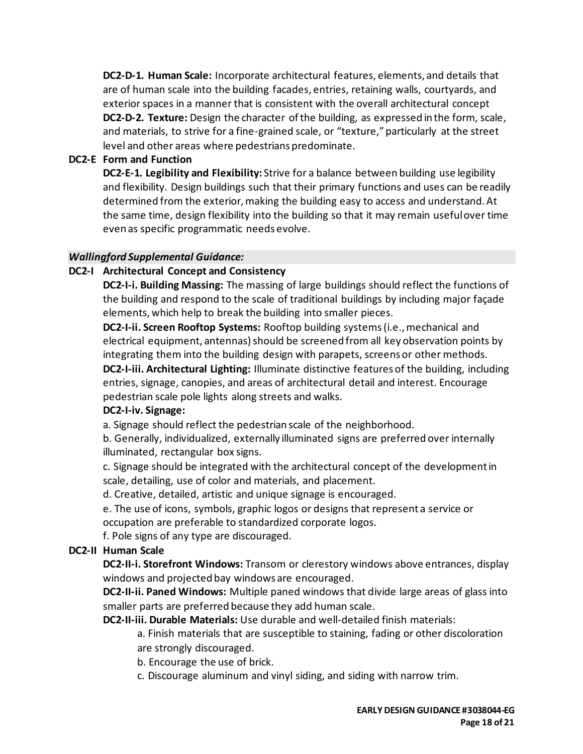**DC2-D-1. Human Scale:** Incorporate architectural features, elements, and details that are of human scale into the building facades, entries, retaining walls, courtyards, and exterior spaces in a manner that is consistent with the overall architectural concept **DC2-D-2. Texture:** Design the character of the building, as expressed in the form, scale, and materials, to strive for a fine-grained scale, or "texture," particularly at the street level and other areas where pedestrians predominate.

### **DC2-E Form and Function**

**DC2-E-1. Legibility and Flexibility:** Strive for a balance between building use legibility and flexibility. Design buildings such that their primary functions and uses can be readily determined from the exterior, making the building easy to access and understand. At the same time, design flexibility into the building so that it may remain useful over time even as specific programmatic needs evolve.

### *Wallingford Supplemental Guidance:*

#### **DC2-I Architectural Concept and Consistency**

**DC2-I-i. Building Massing:** The massing of large buildings should reflect the functions of the building and respond to the scale of traditional buildings by including major façade elements, which help to break the building into smaller pieces.

**DC2-I-ii. Screen Rooftop Systems:** Rooftop building systems (i.e., mechanical and electrical equipment, antennas) should be screened from all key observation points by integrating them into the building design with parapets, screens or other methods. **DC2-I-iii. Architectural Lighting:** Illuminate distinctive features of the building, including entries, signage, canopies, and areas of architectural detail and interest. Encourage

pedestrian scale pole lights along streets and walks.

#### **DC2-I-iv. Signage:**

a. Signage should reflect the pedestrian scale of the neighborhood.

b. Generally, individualized, externally illuminated signs are preferred over internally illuminated, rectangular box signs.

c. Signage should be integrated with the architectural concept of the development in scale, detailing, use of color and materials, and placement.

d. Creative, detailed, artistic and unique signage is encouraged.

e. The use of icons, symbols, graphic logos or designs that represent a service or occupation are preferable to standardized corporate logos.

f. Pole signs of any type are discouraged.

### **DC2-II Human Scale**

**DC2-II-i. Storefront Windows:** Transom or clerestory windows above entrances, display windows and projected bay windows are encouraged.

**DC2-II-ii. Paned Windows:** Multiple paned windows that divide large areas of glass into smaller parts are preferred because they add human scale.

**DC2-II-iii. Durable Materials:** Use durable and well-detailed finish materials:

a. Finish materials that are susceptible to staining, fading or other discoloration are strongly discouraged.

- b. Encourage the use of brick.
- c. Discourage aluminum and vinyl siding, and siding with narrow trim.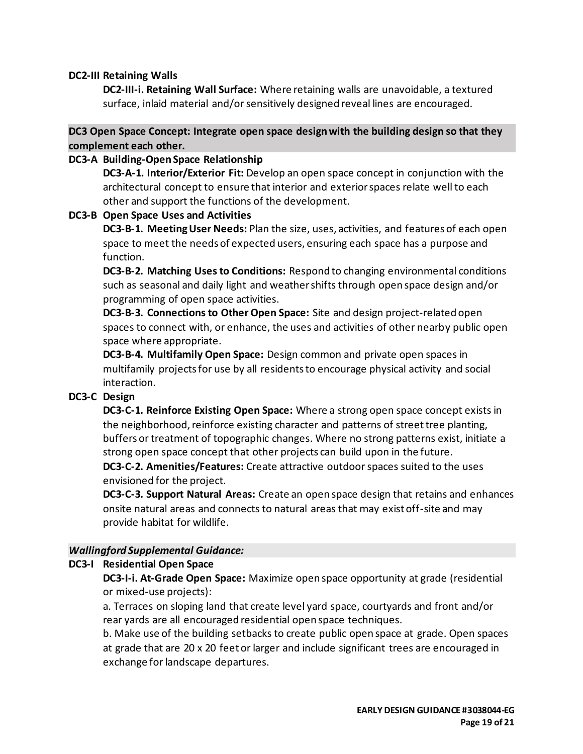### **DC2-III Retaining Walls**

**DC2-III-i. Retaining Wall Surface:** Where retaining walls are unavoidable, a textured surface, inlaid material and/or sensitively designed reveal lines are encouraged.

### **DC3 Open Space Concept: Integrate open space design with the building design so that they complement each other.**

### **DC3-A Building-Open Space Relationship**

**DC3-A-1. Interior/Exterior Fit:** Develop an open space concept in conjunction with the architectural concept to ensure that interior and exterior spaces relate well to each other and support the functions of the development.

### **DC3-B Open Space Uses and Activities**

**DC3-B-1. Meeting User Needs:** Plan the size, uses, activities, and features of each open space to meet the needs of expected users, ensuring each space has a purpose and function.

**DC3-B-2. Matching Uses to Conditions:** Respond to changing environmental conditions such as seasonal and daily light and weather shifts through open space design and/or programming of open space activities.

**DC3-B-3. Connections to Other Open Space:** Site and design project-related open spaces to connect with, or enhance, the uses and activities of other nearby public open space where appropriate.

**DC3-B-4. Multifamily Open Space:** Design common and private open spaces in multifamily projects for use by all residents to encourage physical activity and social interaction.

## **DC3-C Design**

**DC3-C-1. Reinforce Existing Open Space:** Where a strong open space concept exists in the neighborhood, reinforce existing character and patterns of street tree planting, buffers or treatment of topographic changes. Where no strong patterns exist, initiate a strong open space concept that other projects can build upon in the future.

**DC3-C-2. Amenities/Features:** Create attractive outdoor spaces suited to the uses envisioned for the project.

**DC3-C-3. Support Natural Areas:** Create an open space design that retains and enhances onsite natural areas and connects to natural areas that may exist off-site and may provide habitat for wildlife.

### *Wallingford Supplemental Guidance:*

## **DC3-I Residential Open Space**

**DC3-I-i. At-Grade Open Space:** Maximize open space opportunity at grade (residential or mixed-use projects):

a. Terraces on sloping land that create level yard space, courtyards and front and/or rear yards are all encouraged residential open space techniques.

b. Make use of the building setbacks to create public open space at grade. Open spaces at grade that are 20 x 20 feet or larger and include significant trees are encouraged in exchange for landscape departures.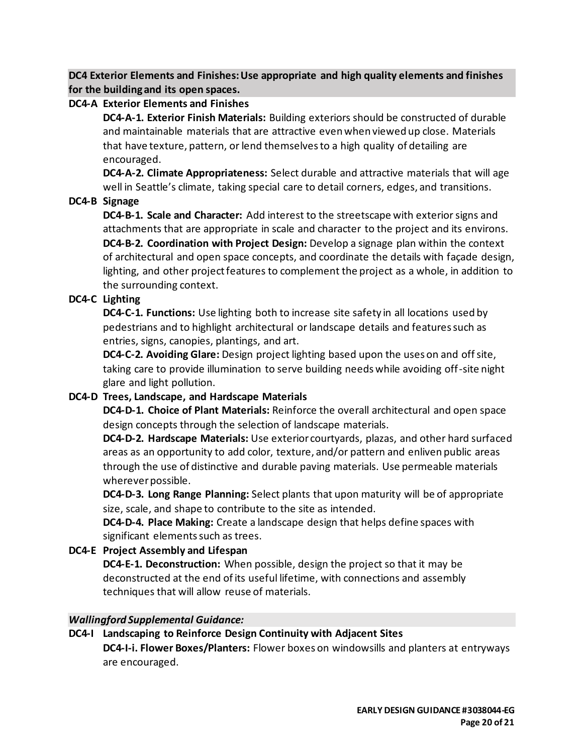**DC4 Exterior Elements and Finishes: Use appropriate and high quality elements and finishes for the building and its open spaces.**

# **DC4-A Exterior Elements and Finishes**

**DC4-A-1. Exterior Finish Materials:** Building exteriors should be constructed of durable and maintainable materials that are attractive even when viewed up close. Materials that have texture, pattern, or lend themselves to a high quality of detailing are encouraged.

**DC4-A-2. Climate Appropriateness:** Select durable and attractive materials that will age well in Seattle's climate, taking special care to detail corners, edges, and transitions.

# **DC4-B Signage**

**DC4-B-1. Scale and Character:** Add interest to the streetscape with exterior signs and attachments that are appropriate in scale and character to the project and its environs. **DC4-B-2. Coordination with Project Design:** Develop a signage plan within the context of architectural and open space concepts, and coordinate the details with façade design, lighting, and other project features to complement the project as a whole, in addition to the surrounding context.

# **DC4-C Lighting**

**DC4-C-1. Functions:** Use lighting both to increase site safety in all locations used by pedestrians and to highlight architectural or landscape details and features such as entries, signs, canopies, plantings, and art.

**DC4-C-2. Avoiding Glare:** Design project lighting based upon the uses on and off site, taking care to provide illumination to serve building needs while avoiding off-site night glare and light pollution.

# **DC4-D Trees, Landscape, and Hardscape Materials**

**DC4-D-1. Choice of Plant Materials:** Reinforce the overall architectural and open space design concepts through the selection of landscape materials.

**DC4-D-2. Hardscape Materials:** Use exterior courtyards, plazas, and other hard surfaced areas as an opportunity to add color, texture, and/or pattern and enliven public areas through the use of distinctive and durable paving materials. Use permeable materials wherever possible.

**DC4-D-3. Long Range Planning:** Select plants that upon maturity will be of appropriate size, scale, and shape to contribute to the site as intended.

**DC4-D-4. Place Making:** Create a landscape design that helps define spaces with significant elements such as trees.

# **DC4-E Project Assembly and Lifespan**

**DC4-E-1. Deconstruction:** When possible, design the project so that it may be deconstructed at the end of its useful lifetime, with connections and assembly techniques that will allow reuse of materials.

## *Wallingford Supplemental Guidance:*

## **DC4-I Landscaping to Reinforce Design Continuity with Adjacent Sites**

**DC4-I-i. Flower Boxes/Planters:** Flower boxes on windowsills and planters at entryways are encouraged.